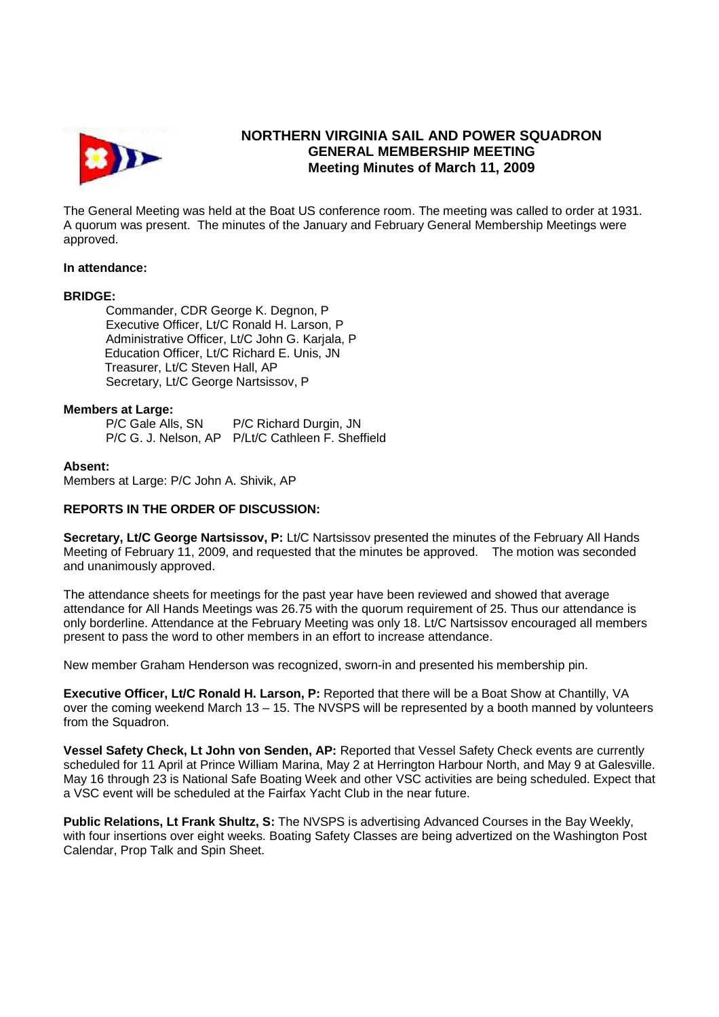

# **NORTHERN VIRGINIA SAIL AND POWER SQUADRON GENERAL MEMBERSHIP MEETING Meeting Minutes of March 11, 2009**

The General Meeting was held at the Boat US conference room. The meeting was called to order at 1931. A quorum was present. The minutes of the January and February General Membership Meetings were approved.

### **In attendance:**

# **BRIDGE:**

 Commander, CDR George K. Degnon, P Executive Officer, Lt/C Ronald H. Larson, P Administrative Officer, Lt/C John G. Karjala, P Education Officer, Lt/C Richard E. Unis, JN Treasurer, Lt/C Steven Hall, AP Secretary, Lt/C George Nartsissov, P

# **Members at Large:**

P/C Gale Alls, SN P/C Richard Durgin, JN P/C G. J. Nelson, AP P/Lt/C Cathleen F. Sheffield

# **Absent:**

Members at Large: P/C John A. Shivik, AP

# **REPORTS IN THE ORDER OF DISCUSSION:**

**Secretary, Lt/C George Nartsissov, P:** Lt/C Nartsissov presented the minutes of the February All Hands Meeting of February 11, 2009, and requested that the minutes be approved. The motion was seconded and unanimously approved.

The attendance sheets for meetings for the past year have been reviewed and showed that average attendance for All Hands Meetings was 26.75 with the quorum requirement of 25. Thus our attendance is only borderline. Attendance at the February Meeting was only 18. Lt/C Nartsissov encouraged all members present to pass the word to other members in an effort to increase attendance.

New member Graham Henderson was recognized, sworn-in and presented his membership pin.

**Executive Officer, Lt/C Ronald H. Larson, P:** Reported that there will be a Boat Show at Chantilly, VA over the coming weekend March 13 – 15. The NVSPS will be represented by a booth manned by volunteers from the Squadron.

**Vessel Safety Check, Lt John von Senden, AP:** Reported that Vessel Safety Check events are currently scheduled for 11 April at Prince William Marina, May 2 at Herrington Harbour North, and May 9 at Galesville. May 16 through 23 is National Safe Boating Week and other VSC activities are being scheduled. Expect that a VSC event will be scheduled at the Fairfax Yacht Club in the near future.

**Public Relations, Lt Frank Shultz, S:** The NVSPS is advertising Advanced Courses in the Bay Weekly, with four insertions over eight weeks. Boating Safety Classes are being advertized on the Washington Post Calendar, Prop Talk and Spin Sheet.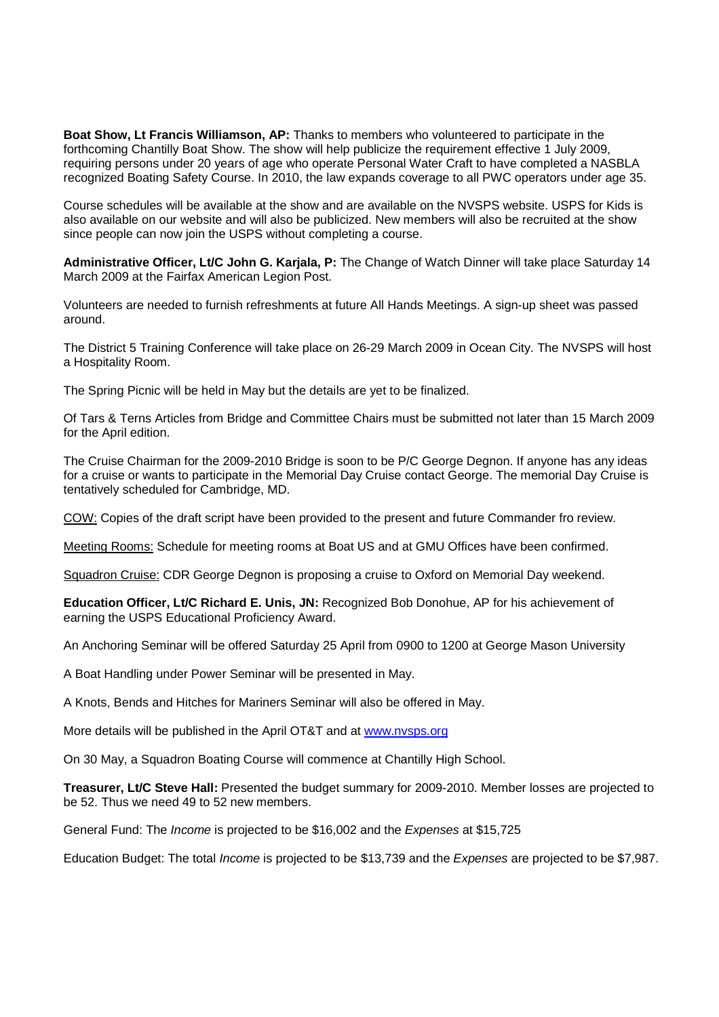**Boat Show, Lt Francis Williamson, AP:** Thanks to members who volunteered to participate in the forthcoming Chantilly Boat Show. The show will help publicize the requirement effective 1 July 2009, requiring persons under 20 years of age who operate Personal Water Craft to have completed a NASBLA recognized Boating Safety Course. In 2010, the law expands coverage to all PWC operators under age 35.

Course schedules will be available at the show and are available on the NVSPS website. USPS for Kids is also available on our website and will also be publicized. New members will also be recruited at the show since people can now join the USPS without completing a course.

**Administrative Officer, Lt/C John G. Karjala, P:** The Change of Watch Dinner will take place Saturday 14 March 2009 at the Fairfax American Legion Post.

Volunteers are needed to furnish refreshments at future All Hands Meetings. A sign-up sheet was passed around.

The District 5 Training Conference will take place on 26-29 March 2009 in Ocean City. The NVSPS will host a Hospitality Room.

The Spring Picnic will be held in May but the details are yet to be finalized.

Of Tars & Terns Articles from Bridge and Committee Chairs must be submitted not later than 15 March 2009 for the April edition.

The Cruise Chairman for the 2009-2010 Bridge is soon to be P/C George Degnon. If anyone has any ideas for a cruise or wants to participate in the Memorial Day Cruise contact George. The memorial Day Cruise is tentatively scheduled for Cambridge, MD.

COW: Copies of the draft script have been provided to the present and future Commander fro review.

Meeting Rooms: Schedule for meeting rooms at Boat US and at GMU Offices have been confirmed.

Squadron Cruise: CDR George Degnon is proposing a cruise to Oxford on Memorial Day weekend.

**Education Officer, Lt/C Richard E. Unis, JN:** Recognized Bob Donohue, AP for his achievement of earning the USPS Educational Proficiency Award.

An Anchoring Seminar will be offered Saturday 25 April from 0900 to 1200 at George Mason University

A Boat Handling under Power Seminar will be presented in May.

A Knots, Bends and Hitches for Mariners Seminar will also be offered in May.

More details will be published in the April OT&T and at www.nvsps.org

On 30 May, a Squadron Boating Course will commence at Chantilly High School.

**Treasurer, Lt/C Steve Hall:** Presented the budget summary for 2009-2010. Member losses are projected to be 52. Thus we need 49 to 52 new members.

General Fund: The Income is projected to be \$16,002 and the Expenses at \$15,725

Education Budget: The total *Income* is projected to be \$13,739 and the *Expenses* are projected to be \$7,987.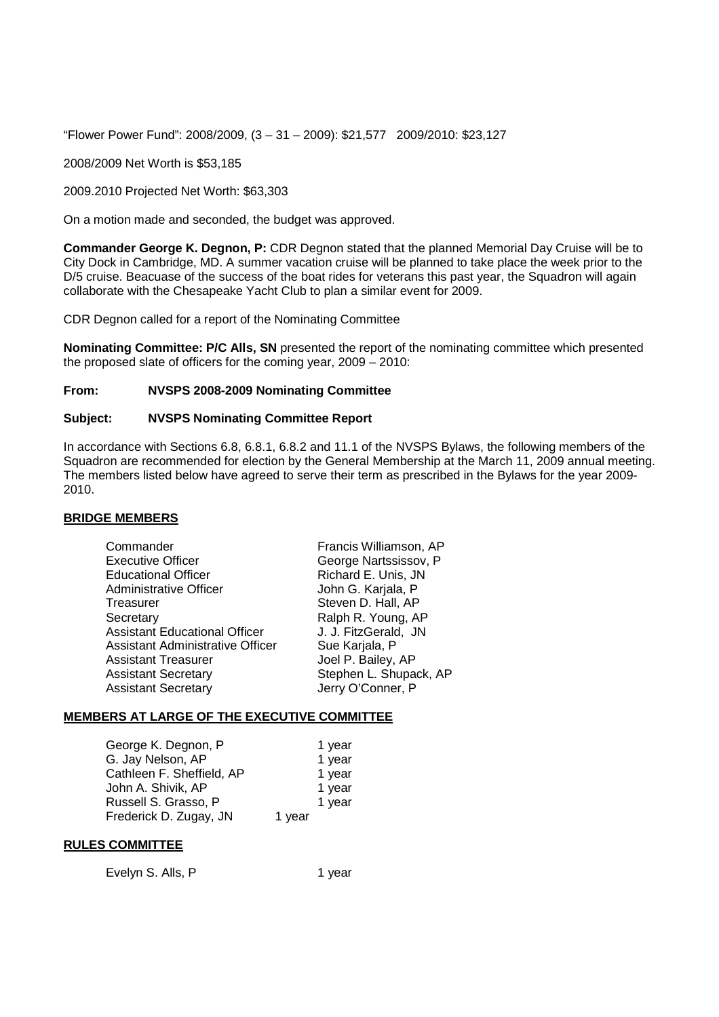"Flower Power Fund": 2008/2009, (3 – 31 – 2009): \$21,577 2009/2010: \$23,127

2008/2009 Net Worth is \$53,185

2009.2010 Projected Net Worth: \$63,303

On a motion made and seconded, the budget was approved.

**Commander George K. Degnon, P:** CDR Degnon stated that the planned Memorial Day Cruise will be to City Dock in Cambridge, MD. A summer vacation cruise will be planned to take place the week prior to the D/5 cruise. Beacuase of the success of the boat rides for veterans this past year, the Squadron will again collaborate with the Chesapeake Yacht Club to plan a similar event for 2009.

CDR Degnon called for a report of the Nominating Committee

**Nominating Committee: P/C Alls, SN** presented the report of the nominating committee which presented the proposed slate of officers for the coming year, 2009 – 2010:

# **From: NVSPS 2008-2009 Nominating Committee**

# **Subject: NVSPS Nominating Committee Report**

In accordance with Sections 6.8, 6.8.1, 6.8.2 and 11.1 of the NVSPS Bylaws, the following members of the Squadron are recommended for election by the General Membership at the March 11, 2009 annual meeting. The members listed below have agreed to serve their term as prescribed in the Bylaws for the year 2009- 2010.

### **BRIDGE MEMBERS**

| Commander                               | Francis Williamson, AP |
|-----------------------------------------|------------------------|
| <b>Executive Officer</b>                | George Nartssissov, P  |
| <b>Educational Officer</b>              | Richard E. Unis, JN    |
| <b>Administrative Officer</b>           | John G. Karjala, P     |
| Treasurer                               | Steven D. Hall, AP     |
| Secretary                               | Ralph R. Young, AP     |
| <b>Assistant Educational Officer</b>    | J. J. FitzGerald, JN   |
| <b>Assistant Administrative Officer</b> | Sue Karjala, P         |
| <b>Assistant Treasurer</b>              | Joel P. Bailey, AP     |
| <b>Assistant Secretary</b>              | Stephen L. Shupack, AP |
| <b>Assistant Secretary</b>              | Jerry O'Conner, P      |
|                                         |                        |

### **MEMBERS AT LARGE OF THE EXECUTIVE COMMITTEE**

| George K. Degnon, P       |        | 1 year |
|---------------------------|--------|--------|
| G. Jay Nelson, AP         |        | 1 year |
| Cathleen F. Sheffield, AP |        | 1 year |
| John A. Shivik, AP        |        | 1 year |
| Russell S. Grasso, P      |        | 1 year |
| Frederick D. Zugay, JN    | 1 year |        |

### **RULES COMMITTEE**

Evelyn S. Alls, P 1 year